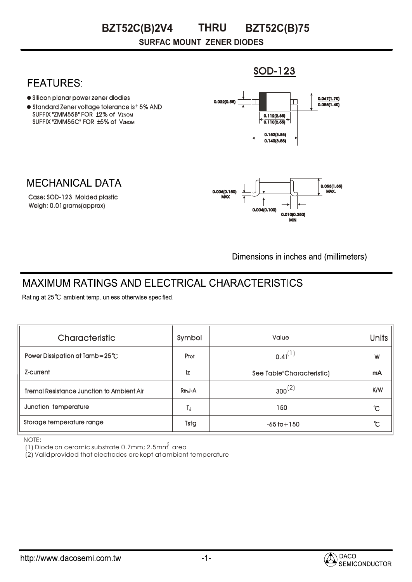#### **SURFAC MOUNT ZENER DIODES THRU BZT52C(B)2V4 BZT52C(B)75**

#### SOD-123 **FEATURES:** Silicon planar power zener diodies 0.067(1.70) 0.022(0.55) Τ 0.055(1.40)  $\bullet$  Standard Zener voltage tolerance is  $\pm$  5% AND SUFFIX "ZMM55B" FOR ±2% of Vznom 0.112(2.85)  $\overline{0.110(2.55)}$ SUFFIX "ZMM55C" FOR ±5% of Vznom 0.152(3.85) 0.140(3.55) **MECHANICAL DATA** 0.053(1.35) MAX. 0.006(0.150) MAX Case: SOD-123 Molded plastic Weigh: 0.01grams(approx) 0.004(0.100) 0.010(0.250)

Dimensions in inches and (millimeters)

MIN

# **MAXIMUM RATINGS AND ELECTRICAL CHARACTERISTICS**

Rating at 25°C ambient temp. unless otherwise specified.

| Characteristic                                   | Symbol              | Value                     | <b>Units</b>     |
|--------------------------------------------------|---------------------|---------------------------|------------------|
| Power Dissipation at Tamb= $25^{\circ}$ C        | Ptot                | $0.41^{(1)}$              | W                |
| Z-current                                        | Iz                  | See Table"Characteristic) | mA               |
| <b>Tremal Resistance Junction to Ambient Air</b> | R <sub>th</sub> J-A | $300^{(2)}$               | K/W              |
| Junction temperature                             | TJ                  | 150                       | $\rm ^{\circ}$ C |
| Storage temperature range                        | Tstg                | $-65$ to $+150$           | °C               |

NOTE:

(1) Diode on ceramic substrate  $0.7$ mm; 2.5mm $\hat{i}$  area

(2) Valid provided that electrodes are kept at ambient temperature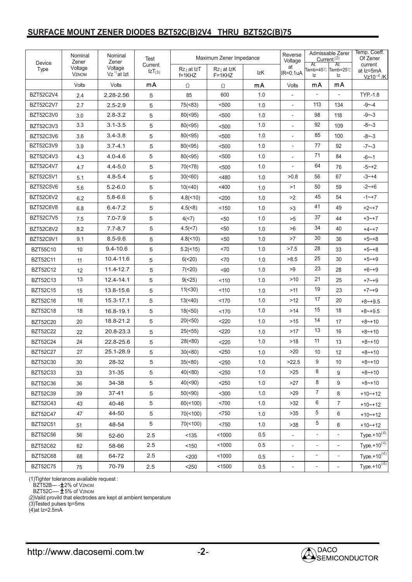|                  | Nominal<br>Zener<br>Voltage<br><b>VZNOM</b> | Nominal<br>Zener<br>Voltage<br>$Vz1$ at lzt | Test<br>Current<br>IZT <sub>(3)</sub> | Maximum Zener Impedance |                              |     | Reverse<br>Voltage       | Admissable Zerer<br>Current <sup>(2)</sup> |                                | Temp. Coeff.<br>Of Zener               |
|------------------|---------------------------------------------|---------------------------------------------|---------------------------------------|-------------------------|------------------------------|-----|--------------------------|--------------------------------------------|--------------------------------|----------------------------------------|
| Device<br>Type   |                                             |                                             |                                       | Rz j at IzT<br>$f=1KHZ$ | $Rz$ j at IzK<br>$F = 1K$ HZ | IzK | at<br>$IR=0.1uA$         | At<br>Iz                                   | At<br>Tamb=45℃  Tamb=25℃<br>Iz | current<br>at Iz=5mA<br>$Vz10^{-4}$ /K |
|                  | Volts                                       | Volts                                       | mA                                    | $\Omega$                | Ω                            | mA  | Volts                    | mA                                         | mA                             |                                        |
| <b>BZT52C2V4</b> | 2.4                                         | 2.28-2.56                                   | 5                                     | 85                      | 600                          | 1.0 |                          |                                            |                                | TYP-1.8                                |
| <b>BZT52C2V7</b> | 2.7                                         | $2.5 - 2.9$                                 | 5                                     | 75(< 83)                | < 500                        | 1.0 | $\overline{\phantom{a}}$ | 113                                        | 134                            | $-9 - -4$                              |
| BZT52C3V0        | 3.0                                         | $2.8 - 3.2$                                 | 5                                     | 80(<,95)                | $500$                        | 1.0 | $\overline{\phantom{a}}$ | 98                                         | 118                            | $-9 - -3$                              |
| BZT52C3V3        | 3.3                                         | $3.1 - 3.5$                                 | 5                                     | 80(<,95)                | < 500                        | 1.0 | $\overline{\phantom{a}}$ | 92                                         | 109                            | $-8 - -3$                              |
| <b>BZT52C3V6</b> | 3.6                                         | $3.4 - 3.8$                                 | 5                                     | 80(<,95)                | $500$                        | 1.0 | $\overline{\phantom{a}}$ | 85                                         | 100                            | $-8 - -3$                              |
| BZT52C3V9        | 3.9                                         | $3.7 - 4.1$                                 | 5                                     | 80(<,95)                | < 500                        | 1.0 | $\overline{\phantom{a}}$ | 77                                         | 92                             | $-7 - 3$                               |
| BZT52C4V3        | 4.3                                         | $4.0 - 4.6$                                 | 5                                     | 80(<,95)                | $500$                        | 1.0 | $\overline{\phantom{a}}$ | 71                                         | 84                             | $-6 - -1$                              |
| <b>BZT52C4V7</b> | 4.7                                         | $4.4 - 5.0$                                 | 5                                     | $70(-78)$               | $500$                        | 1.0 | $\overline{\phantom{a}}$ | 64                                         | 76                             | $-5 - +2$                              |
| <b>BZT52C5V1</b> | 5.1                                         | $4.8 - 5.4$                                 | 5                                     | 30(<60)                 | $<$ 480                      | 1.0 | >0.8                     | 56                                         | 67                             | $-3 - +4$                              |
| <b>BZT52C5V6</b> | 5.6                                         | $5.2 - 6.0$                                 | 5                                     | 10( <sub>40</sub> )     | $<$ 400                      | 1.0 | >1                       | 50                                         | 59                             | $-2$ $-$ + 6                           |
| <b>BZT52C6V2</b> | 6.2                                         | $5.8 - 6.6$                                 | 5                                     | 4.8(< 10)               | $200$                        | 1.0 | >2                       | 45                                         | 54                             | $-1 - +7$                              |
| BZT52C6V8        | 6.8                                         | $6.4 - 7.2$                                 | 5                                     | 4.5(<8)                 | < 150                        | 1.0 | >3                       | 41                                         | 49                             | $+2-+7$                                |
| <b>BZT52C7V5</b> | 7.5                                         | $7.0 - 7.9$                                 | 5                                     | 4(1)                    | $50$                         | 1.0 | >5                       | 37                                         | 44                             | $+3-+7$                                |
| <b>BZT52C8V2</b> | 8.2                                         | $7.7 - 8.7$                                 | 5                                     | 4.5(<7)                 | $50$                         | 1.0 | >6                       | 34                                         | 40                             | +4~+7                                  |
| <b>BZT52C9V1</b> | 9.1                                         | $8.5 - 9.6$                                 | 5                                     | 4.8(< 10)               | $50$                         | 1.0 | >7                       | 30                                         | 36                             | $+5-+8$                                |
| <b>BZT55C10</b>  | 10                                          | $9.4 - 10.6$                                | 5                                     | $5.2 \times 15$         | <70                          | 1.0 | >7.5                     | 28                                         | 33                             | $+5-+8$                                |
| <b>BZT52C11</b>  | 11                                          | 10.4-11.6                                   | 5                                     | 6(<20)                  | <70                          | 1.0 | >8.5                     | 25                                         | 30                             | $+5-+9$                                |
| <b>BZT52C12</b>  | 12                                          | 11.4-12.7                                   | 5                                     | 7( <sub>20</sub> )      | $90$                         | 1.0 | >9                       | 23                                         | 28                             | $+6-+9$                                |
| <b>BZT52C13</b>  | 13                                          | 12.4-14.1                                   | 5                                     | 9(< 25)                 | 110                          | 1.0 | $>10$                    | 21                                         | 25                             | $+7-+9$                                |
| <b>BZT52C15</b>  | 15                                          | 13.8-15.6                                   | 5                                     | 11(< 30)                | 110                          | 1.0 | >11                      | 19                                         | 23                             | $+7 - +9$                              |
| <b>BZT52C16</b>  | 16                                          | 15.3-17.1                                   | 5                                     | 13( <sub>40</sub> )     | 170                          | 1.0 | >12                      | 17                                         | 20                             | $+8-+9.5$                              |
| <b>BZT52C18</b>  | 18                                          | 16.8-19.1                                   | 5                                     | 18(<50)                 | 170                          | 1.0 | >14                      | 15                                         | 18                             | $+8-+9.5$                              |
| <b>BZT52C20</b>  | 20                                          | 18.8-21.2                                   | 5                                     | 20(<50)                 | < 220                        | 1.0 | $>15$                    | 14                                         | 17                             | $+8-+10$                               |
| <b>BZT52C22</b>  | 22                                          | 20.8-23.3                                   | 5                                     | 25(<55)                 | < 220                        | 1.0 | >17                      | 13                                         | 16                             | $+8-+10$                               |
| <b>BZT52C24</b>  | 24                                          | 22.8-25.6                                   | 5                                     | 28(<80)                 | < 220                        | 1.0 | >18                      | 11                                         | 13                             | $+8-+10$                               |
| <b>BZT52C27</b>  | 27                                          | 25.1-28.9                                   | 5                                     | 30(<80)                 | $<$ 250                      | 1.0 | >20                      | 10                                         | 12                             | $+8-+10$                               |
| <b>BZT52C30</b>  | 30                                          | 28-32                                       | 5                                     | 35(<80)                 | < 250                        | 1.0 | >22.5                    | 9                                          | 10                             | $+8-+10$                               |
| <b>BZT52C33</b>  | 33                                          | 31-35                                       | 5                                     | 40(<80)                 | $<$ 250                      | 1.0 | $>25$                    | 8                                          | 9                              | $+8-+10$                               |
| <b>BZT52C36</b>  | 36                                          | 34-38                                       | 5                                     | 40( < 90)               | $<$ 250                      | 1.0 | >27                      | 8                                          | 9                              | $+8-+10$                               |
| <b>BZT52C39</b>  | 39                                          | 37-41                                       | 5                                     | 50(<,90)                | $300$                        | 1.0 | $>29$                    | $\overline{7}$                             | 8                              | $+10 - +12$                            |
| <b>BZT52C43</b>  | 43                                          | 40-46                                       | 5                                     | 60(<100)                | <700                         | 1.0 | $>32$                    | 6                                          | $\overline{7}$                 | $+10-+12$                              |
| <b>BZT52C47</b>  | 47                                          | 44-50                                       | 5                                     | 70(< 100)               | < 750                        | 1.0 | $>35$                    | $5\,$                                      | 6                              | $+10 - +12$                            |
| <b>BZT52C51</b>  | 51                                          | 48-54                                       | 5                                     | 70(< 100)               | < 750                        | 1.0 | $>38$                    | 5                                          | 6                              | $+10 - +12$                            |
| <b>BZT52C56</b>  | 56                                          | 52-60                                       | 2.5                                   | < 135                   | <1000                        | 0.5 | ٠                        |                                            |                                | Type. $+10^{(4)}$                      |
| <b>BZT52C62</b>  | 62                                          | 58-66                                       | 2.5                                   | < 150                   | < 1000                       | 0.5 | $\overline{\phantom{a}}$ | $\overline{\phantom{0}}$                   | $\overline{\phantom{a}}$       | Type. $+10^{(4)}$                      |
| <b>BZT52C68</b>  | 68                                          | 64-72                                       | 2.5                                   | $200$                   | < 1000                       | 0.5 | $\frac{1}{2}$            | $\overline{\phantom{a}}$                   | $\overline{\phantom{a}}$       | Type. $+10^{(4)}$                      |
| <b>BZT52C75</b>  | 75                                          | 70-79                                       | 2.5                                   | $<$ 250                 | < 1500                       | 0.5 | $\overline{\phantom{a}}$ |                                            |                                | Type.+10 $\overline{^{(4)}}$           |

(1)Tighter tolerances available request :

ВZТ52В--- -±2% of Vznoм f,

 BZT52C---- 5% of VZNOM Ĉ,

(2)Vaild provild that electrodes are kept at ambient temperature

(3)Tested pulses tp=5ms

(4)at Iz=2.5mA

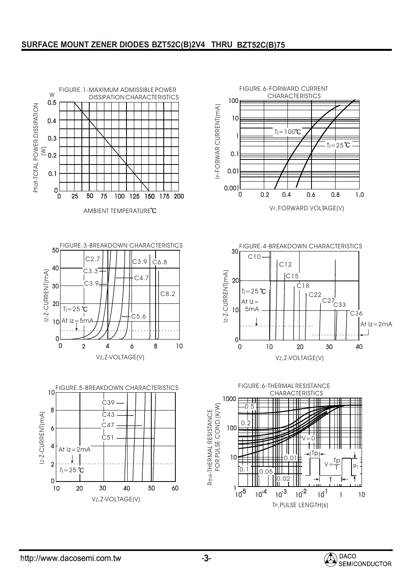

**3**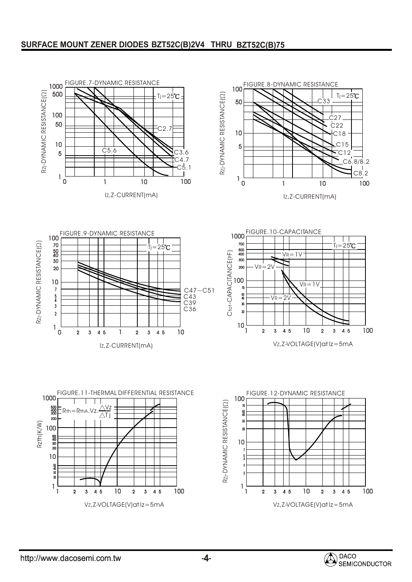